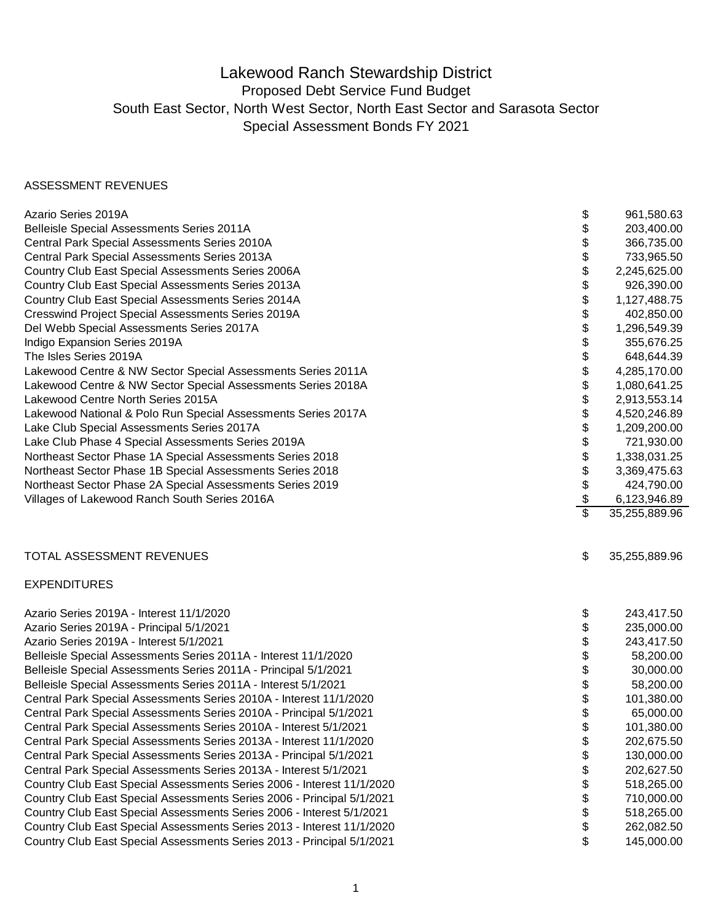## Lakewood Ranch Stewardship District Proposed Debt Service Fund Budget South East Sector, North West Sector, North East Sector and Sarasota Sector Special Assessment Bonds FY 2021

## ASSESSMENT REVENUES

| Azario Series 2019A                                                    | \$ | 961,580.63    |
|------------------------------------------------------------------------|----|---------------|
| Belleisle Special Assessments Series 2011A                             | \$ | 203,400.00    |
| Central Park Special Assessments Series 2010A                          | \$ | 366,735.00    |
| Central Park Special Assessments Series 2013A                          | \$ | 733,965.50    |
| Country Club East Special Assessments Series 2006A                     | \$ | 2,245,625.00  |
| Country Club East Special Assessments Series 2013A                     | \$ | 926,390.00    |
| Country Club East Special Assessments Series 2014A                     | \$ | 1,127,488.75  |
| Cresswind Project Special Assessments Series 2019A                     | \$ | 402,850.00    |
| Del Webb Special Assessments Series 2017A                              | \$ | 1,296,549.39  |
| Indigo Expansion Series 2019A                                          | \$ | 355,676.25    |
| The Isles Series 2019A                                                 | \$ | 648,644.39    |
| Lakewood Centre & NW Sector Special Assessments Series 2011A           | \$ | 4,285,170.00  |
| Lakewood Centre & NW Sector Special Assessments Series 2018A           | \$ | 1,080,641.25  |
| Lakewood Centre North Series 2015A                                     | \$ | 2,913,553.14  |
| Lakewood National & Polo Run Special Assessments Series 2017A          | \$ | 4,520,246.89  |
| Lake Club Special Assessments Series 2017A                             | \$ | 1,209,200.00  |
| Lake Club Phase 4 Special Assessments Series 2019A                     | \$ | 721,930.00    |
| Northeast Sector Phase 1A Special Assessments Series 2018              | \$ | 1,338,031.25  |
| Northeast Sector Phase 1B Special Assessments Series 2018              | \$ | 3,369,475.63  |
| Northeast Sector Phase 2A Special Assessments Series 2019              | \$ | 424,790.00    |
| Villages of Lakewood Ranch South Series 2016A                          | \$ | 6,123,946.89  |
|                                                                        | s, | 35,255,889.96 |
| TOTAL ASSESSMENT REVENUES                                              | \$ | 35,255,889.96 |
| <b>EXPENDITURES</b>                                                    |    |               |
| Azario Series 2019A - Interest 11/1/2020                               | \$ | 243,417.50    |
| Azario Series 2019A - Principal 5/1/2021                               | \$ | 235,000.00    |
| Azario Series 2019A - Interest 5/1/2021                                |    | 243,417.50    |
| Belleisle Special Assessments Series 2011A - Interest 11/1/2020        |    | 58,200.00     |
| Belleisle Special Assessments Series 2011A - Principal 5/1/2021        | \$ | 30,000.00     |
| Belleisle Special Assessments Series 2011A - Interest 5/1/2021         | \$ | 58,200.00     |
| Central Park Special Assessments Series 2010A - Interest 11/1/2020     | \$ | 101,380.00    |
| Central Park Special Assessments Series 2010A - Principal 5/1/2021     | \$ | 65,000.00     |
| Central Park Special Assessments Series 2010A - Interest 5/1/2021      |    | 101,380.00    |
| Central Park Special Assessments Series 2013A - Interest 11/1/2020     | \$ | 202,675.50    |
| Central Park Special Assessments Series 2013A - Principal 5/1/2021     | \$ | 130,000.00    |
| Central Park Special Assessments Series 2013A - Interest 5/1/2021      |    | 202,627.50    |
| Country Club East Special Assessments Series 2006 - Interest 11/1/2020 |    | 518,265.00    |
| Country Club East Special Assessments Series 2006 - Principal 5/1/2021 |    | 710,000.00    |
| Country Club East Special Assessments Series 2006 - Interest 5/1/2021  |    | 518,265.00    |
| Country Club East Special Assessments Series 2013 - Interest 11/1/2020 |    | 262,082.50    |
| Country Club East Special Assessments Series 2013 - Principal 5/1/2021 | \$ | 145,000.00    |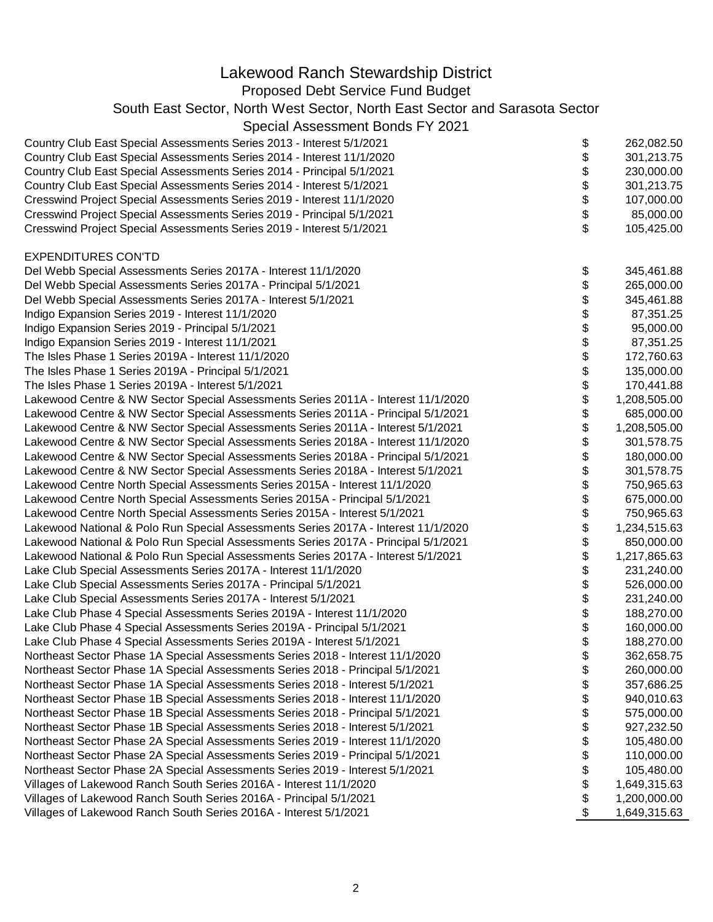| Lakewood Ranch Stewardship District                                                                                                                                   |          |                            |
|-----------------------------------------------------------------------------------------------------------------------------------------------------------------------|----------|----------------------------|
| Proposed Debt Service Fund Budget                                                                                                                                     |          |                            |
| South East Sector, North West Sector, North East Sector and Sarasota Sector                                                                                           |          |                            |
| Special Assessment Bonds FY 2021                                                                                                                                      |          |                            |
|                                                                                                                                                                       |          |                            |
| Country Club East Special Assessments Series 2013 - Interest 5/1/2021                                                                                                 | \$       | 262,082.50                 |
| Country Club East Special Assessments Series 2014 - Interest 11/1/2020                                                                                                | \$       | 301,213.75                 |
| Country Club East Special Assessments Series 2014 - Principal 5/1/2021                                                                                                | \$       | 230,000.00                 |
| Country Club East Special Assessments Series 2014 - Interest 5/1/2021                                                                                                 | \$\$     | 301,213.75                 |
| Cresswind Project Special Assessments Series 2019 - Interest 11/1/2020                                                                                                |          | 107,000.00                 |
| Cresswind Project Special Assessments Series 2019 - Principal 5/1/2021                                                                                                |          | 85,000.00                  |
| Cresswind Project Special Assessments Series 2019 - Interest 5/1/2021                                                                                                 | \$       | 105,425.00                 |
| <b>EXPENDITURES CON'TD</b>                                                                                                                                            |          |                            |
| Del Webb Special Assessments Series 2017A - Interest 11/1/2020                                                                                                        | \$       | 345,461.88                 |
| Del Webb Special Assessments Series 2017A - Principal 5/1/2021                                                                                                        | \$       | 265,000.00                 |
| Del Webb Special Assessments Series 2017A - Interest 5/1/2021                                                                                                         | \$       | 345,461.88                 |
| Indigo Expansion Series 2019 - Interest 11/1/2020                                                                                                                     | \$       | 87,351.25                  |
| Indigo Expansion Series 2019 - Principal 5/1/2021                                                                                                                     | \$       | 95,000.00                  |
| Indigo Expansion Series 2019 - Interest 11/1/2021                                                                                                                     | \$       | 87,351.25                  |
| The Isles Phase 1 Series 2019A - Interest 11/1/2020                                                                                                                   | \$       | 172,760.63                 |
| The Isles Phase 1 Series 2019A - Principal 5/1/2021                                                                                                                   | \$       | 135,000.00                 |
| The Isles Phase 1 Series 2019A - Interest 5/1/2021                                                                                                                    | \$       | 170,441.88                 |
|                                                                                                                                                                       | \$       | 1,208,505.00               |
| Lakewood Centre & NW Sector Special Assessments Series 2011A - Interest 11/1/2020                                                                                     |          |                            |
| Lakewood Centre & NW Sector Special Assessments Series 2011A - Principal 5/1/2021                                                                                     | \$       | 685,000.00<br>1,208,505.00 |
| Lakewood Centre & NW Sector Special Assessments Series 2011A - Interest 5/1/2021<br>Lakewood Centre & NW Sector Special Assessments Series 2018A - Interest 11/1/2020 | \$       | 301,578.75                 |
| Lakewood Centre & NW Sector Special Assessments Series 2018A - Principal 5/1/2021                                                                                     | \$       | 180,000.00                 |
| Lakewood Centre & NW Sector Special Assessments Series 2018A - Interest 5/1/2021                                                                                      | \$<br>\$ | 301,578.75                 |
| Lakewood Centre North Special Assessments Series 2015A - Interest 11/1/2020                                                                                           | \$       | 750,965.63                 |
|                                                                                                                                                                       |          |                            |
| Lakewood Centre North Special Assessments Series 2015A - Principal 5/1/2021                                                                                           | \$<br>\$ | 675,000.00<br>750,965.63   |
| Lakewood Centre North Special Assessments Series 2015A - Interest 5/1/2021                                                                                            |          | 1,234,515.63               |
| Lakewood National & Polo Run Special Assessments Series 2017A - Interest 11/1/2020                                                                                    | \$       |                            |
| Lakewood National & Polo Run Special Assessments Series 2017A - Principal 5/1/2021                                                                                    | \$<br>\$ | 850,000.00                 |
| Lakewood National & Polo Run Special Assessments Series 2017A - Interest 5/1/2021                                                                                     | \$       | 1,217,865.63               |
| Lake Club Special Assessments Series 2017A - Interest 11/1/2020                                                                                                       | \$       | 231,240.00                 |
| Lake Club Special Assessments Series 2017A - Principal 5/1/2021                                                                                                       |          | 526,000.00                 |
| Lake Club Special Assessments Series 2017A - Interest 5/1/2021                                                                                                        | \$       | 231,240.00                 |
| Lake Club Phase 4 Special Assessments Series 2019A - Interest 11/1/2020                                                                                               | \$       | 188,270.00                 |
| Lake Club Phase 4 Special Assessments Series 2019A - Principal 5/1/2021                                                                                               | \$       | 160,000.00                 |
| Lake Club Phase 4 Special Assessments Series 2019A - Interest 5/1/2021                                                                                                | \$       | 188,270.00                 |
| Northeast Sector Phase 1A Special Assessments Series 2018 - Interest 11/1/2020                                                                                        | \$       | 362,658.75                 |
| Northeast Sector Phase 1A Special Assessments Series 2018 - Principal 5/1/2021                                                                                        | \$       | 260,000.00                 |
| Northeast Sector Phase 1A Special Assessments Series 2018 - Interest 5/1/2021                                                                                         | \$       | 357,686.25                 |
| Northeast Sector Phase 1B Special Assessments Series 2018 - Interest 11/1/2020                                                                                        | \$       | 940,010.63                 |
| Northeast Sector Phase 1B Special Assessments Series 2018 - Principal 5/1/2021                                                                                        | \$       | 575,000.00                 |
| Northeast Sector Phase 1B Special Assessments Series 2018 - Interest 5/1/2021                                                                                         | \$       | 927,232.50                 |
| Northeast Sector Phase 2A Special Assessments Series 2019 - Interest 11/1/2020                                                                                        | \$       | 105,480.00                 |
| Northeast Sector Phase 2A Special Assessments Series 2019 - Principal 5/1/2021                                                                                        | \$       | 110,000.00                 |
| Northeast Sector Phase 2A Special Assessments Series 2019 - Interest 5/1/2021                                                                                         | \$       | 105,480.00                 |
| Villages of Lakewood Ranch South Series 2016A - Interest 11/1/2020                                                                                                    | \$       | 1,649,315.63               |
| Villages of Lakewood Ranch South Series 2016A - Principal 5/1/2021                                                                                                    | \$       | 1,200,000.00               |
| Villages of Lakewood Ranch South Series 2016A - Interest 5/1/2021                                                                                                     | \$       | 1,649,315.63               |